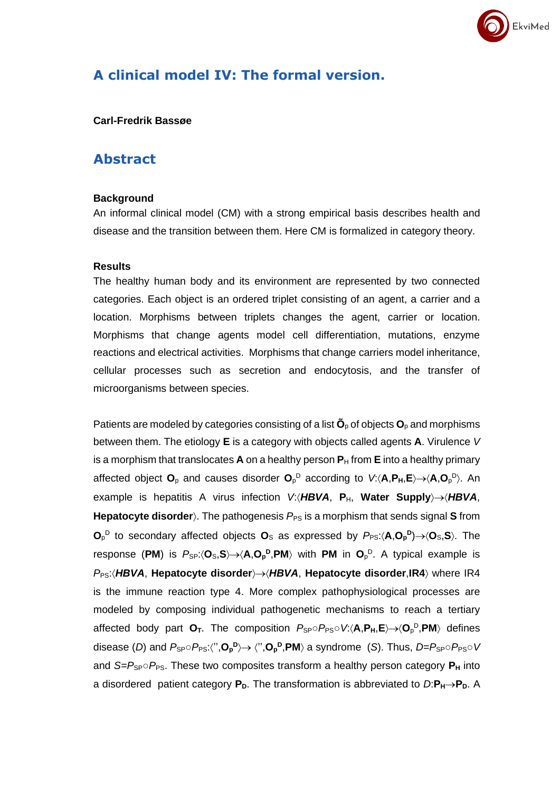# **A clinical model IV: The formal version.**

#### **Carl-Fredrik Bassøe**

### **Abstract**

#### **Background**

An informal clinical model (CM) with a strong empirical basis describes health and disease and the transition between them. Here CM is formalized in category theory.

EkviMed

#### **Results**

The healthy human body and its environment are represented by two connected categories. Each object is an ordered triplet consisting of an agent, a carrier and a location. Morphisms between triplets changes the agent, carrier or location. Morphisms that change agents model cell differentiation, mutations, enzyme reactions and electrical activities. Morphisms that change carriers model inheritance, cellular processes such as secretion and endocytosis, and the transfer of microorganisms between species.

Patients are modeled by categories consisting of a list  $\tilde{\mathbf{O}}_p$  of objects  $\mathbf{O}_p$  and morphisms between them. The etiology **E** is a category with objects called agents **A**. Virulence *V* is a morphism that translocates  $\bf{A}$  on a healthy person  $\bf{P}_H$  from  $\bf{E}$  into a healthy primary affected object **O**<sup>p</sup> and causes disorder **O**<sup>p</sup> <sup>D</sup> according to *V*:**A**,**PH**,**E**→**A**,**O**<sup>p</sup> D . An example is hepatitis A virus infection *V:(HBVA, P<sub>H</sub>, Water Supply)→HBVA,* **Hepatocyte disorder**). The pathogenesis  $P_{PS}$  is a morphism that sends signal S from  $O_p^D$  to secondary affected objects  $O_s$  as expressed by  $P_{PS}$ : $\langle A, O_p^D \rangle \rightarrow \langle O_s, S \rangle$ . The response (PM) is  $P_{SP}$ : $\langle O_S, S \rangle \rightarrow \langle A, O_P^D, PM \rangle$  with PM in  $O_P^D$ . A typical example is *P*PS:*HBVA*, **Hepatocyte disorder**→*HBVA*, **Hepatocyte disorder**,**IR4** where IR4 is the immune reaction type 4. More complex pathophysiological processes are modeled by composing individual pathogenetic mechanisms to reach a tertiary affected body part **O**<sub>τ</sub>. The composition  $P_{SP} \circ P_{PS} \circ V$ : (**A,P<sub>H</sub>,E**)→ (**O**<sub>P</sub><sup>D</sup>,PM) defines disease (*D*) and  $P_{\text{SP}} \circ P_{\text{PS}}$ :'','O<sub>P</sub><sup>D</sup>) $\rightarrow$ '','O<sub>P</sub><sup>D</sup>,PM) a syndrome (S). Thus, *D=P*<sub>SP</sub> $\circ$ *P*<sub>PS</sub> $\circ$ *V* and  $S = P_{SP} \circ P_{PS}$ . These two composites transform a healthy person category  $P_H$  into a disordered patient category  $P_D$ . The transformation is abbreviated to  $D: P_H \rightarrow P_D$ . A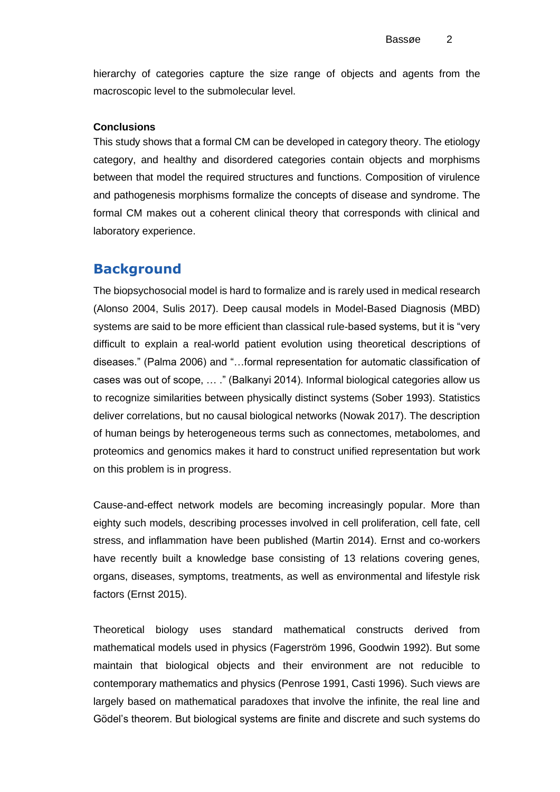hierarchy of categories capture the size range of objects and agents from the macroscopic level to the submolecular level.

#### **Conclusions**

This study shows that a formal CM can be developed in category theory. The etiology category, and healthy and disordered categories contain objects and morphisms between that model the required structures and functions. Composition of virulence and pathogenesis morphisms formalize the concepts of disease and syndrome. The formal CM makes out a coherent clinical theory that corresponds with clinical and laboratory experience.

### **Background**

The biopsychosocial model is hard to formalize and is rarely used in medical research (Alonso 2004, Sulis 2017). Deep causal models in Model-Based Diagnosis (MBD) systems are said to be more efficient than classical rule-based systems, but it is "very difficult to explain a real-world patient evolution using theoretical descriptions of diseases." (Palma 2006) and "…formal representation for automatic classification of cases was out of scope, … ." (Balkanyi 2014). Informal biological categories allow us to recognize similarities between physically distinct systems (Sober 1993). Statistics deliver correlations, but no causal biological networks (Nowak 2017). The description of human beings by heterogeneous terms such as connectomes, metabolomes, and proteomics and genomics makes it hard to construct unified representation but work on this problem is in progress.

Cause-and-effect network models are becoming increasingly popular. More than eighty such models, describing processes involved in cell proliferation, cell fate, cell stress, and inflammation have been published (Martin 2014). Ernst and co-workers have recently built a knowledge base consisting of 13 relations covering genes, organs, diseases, symptoms, treatments, as well as environmental and lifestyle risk factors (Ernst 2015).

Theoretical biology uses standard mathematical constructs derived from mathematical models used in physics (Fagerström 1996, Goodwin 1992). But some maintain that biological objects and their environment are not reducible to contemporary mathematics and physics (Penrose 1991, Casti 1996). Such views are largely based on mathematical paradoxes that involve the infinite, the real line and Gödel's theorem. But biological systems are finite and discrete and such systems do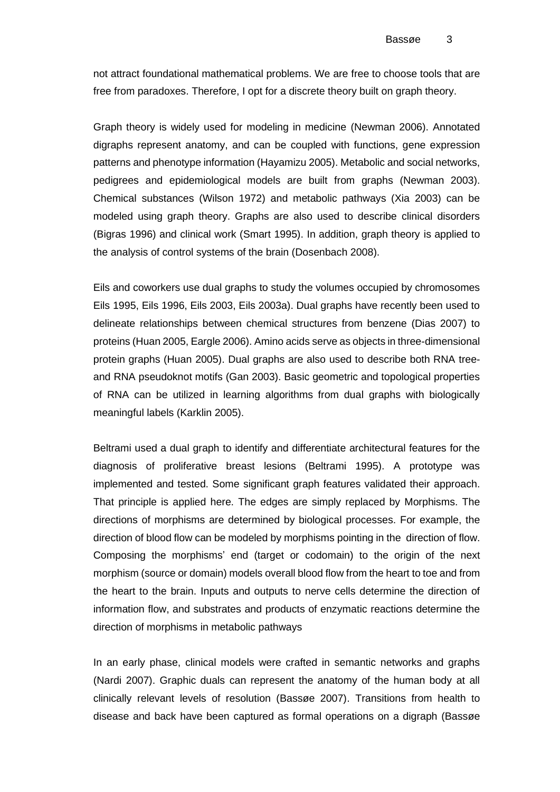not attract foundational mathematical problems. We are free to choose tools that are free from paradoxes. Therefore, I opt for a discrete theory built on graph theory.

Graph theory is widely used for modeling in medicine (Newman 2006). Annotated digraphs represent anatomy, and can be coupled with functions, gene expression patterns and phenotype information (Hayamizu 2005). Metabolic and social networks, pedigrees and epidemiological models are built from graphs (Newman 2003). Chemical substances (Wilson 1972) and metabolic pathways (Xia 2003) can be modeled using graph theory. Graphs are also used to describe clinical disorders (Bigras 1996) and clinical work (Smart 1995). In addition, graph theory is applied to the analysis of control systems of the brain (Dosenbach 2008).

Eils and coworkers use dual graphs to study the volumes occupied by chromosomes Eils 1995, Eils 1996, Eils 2003, Eils 2003a). Dual graphs have recently been used to delineate relationships between chemical structures from benzene (Dias 2007) to proteins (Huan 2005, Eargle 2006). Amino acids serve as objects in three-dimensional protein graphs (Huan 2005). Dual graphs are also used to describe both RNA treeand RNA pseudoknot motifs (Gan 2003). Basic geometric and topological properties of RNA can be utilized in learning algorithms from dual graphs with biologically meaningful labels (Karklin 2005).

Beltrami used a dual graph to identify and differentiate architectural features for the diagnosis of proliferative breast lesions (Beltrami 1995). A prototype was implemented and tested. Some significant graph features validated their approach. That principle is applied here. The edges are simply replaced by Morphisms. The directions of morphisms are determined by biological processes. For example, the direction of blood flow can be modeled by morphisms pointing in the direction of flow. Composing the morphisms' end (target or codomain) to the origin of the next morphism (source or domain) models overall blood flow from the heart to toe and from the heart to the brain. Inputs and outputs to nerve cells determine the direction of information flow, and substrates and products of enzymatic reactions determine the direction of morphisms in metabolic pathways

In an early phase, clinical models were crafted in semantic networks and graphs (Nardi 2007). Graphic duals can represent the anatomy of the human body at all clinically relevant levels of resolution (Bassøe 2007). Transitions from health to disease and back have been captured as formal operations on a digraph (Bassøe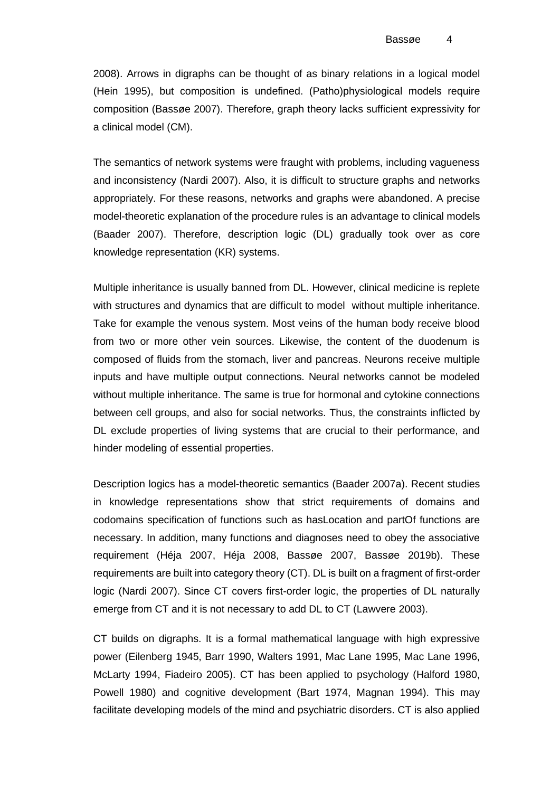2008). Arrows in digraphs can be thought of as binary relations in a logical model (Hein 1995), but composition is undefined. (Patho)physiological models require composition (Bassøe 2007). Therefore, graph theory lacks sufficient expressivity for a clinical model (CM).

The semantics of network systems were fraught with problems, including vagueness and inconsistency (Nardi 2007). Also, it is difficult to structure graphs and networks appropriately. For these reasons, networks and graphs were abandoned. A precise model-theoretic explanation of the procedure rules is an advantage to clinical models (Baader 2007). Therefore, description logic (DL) gradually took over as core knowledge representation (KR) systems.

Multiple inheritance is usually banned from DL. However, clinical medicine is replete with structures and dynamics that are difficult to model without multiple inheritance. Take for example the venous system. Most veins of the human body receive blood from two or more other vein sources. Likewise, the content of the duodenum is composed of fluids from the stomach, liver and pancreas. Neurons receive multiple inputs and have multiple output connections. Neural networks cannot be modeled without multiple inheritance. The same is true for hormonal and cytokine connections between cell groups, and also for social networks. Thus, the constraints inflicted by DL exclude properties of living systems that are crucial to their performance, and hinder modeling of essential properties.

Description logics has a model-theoretic semantics (Baader 2007a). Recent studies in knowledge representations show that strict requirements of domains and codomains specification of functions such as hasLocation and partOf functions are necessary. In addition, many functions and diagnoses need to obey the associative requirement (Héja 2007, Héja 2008, Bassøe 2007, Bassøe 2019b). These requirements are built into category theory (CT). DL is built on a fragment of first-order logic (Nardi 2007). Since CT covers first-order logic, the properties of DL naturally emerge from CT and it is not necessary to add DL to CT (Lawvere 2003).

CT builds on digraphs. It is a formal mathematical language with high expressive power (Eilenberg 1945, Barr 1990, Walters 1991, Mac Lane 1995, Mac Lane 1996, McLarty 1994, Fiadeiro 2005). CT has been applied to psychology (Halford 1980, Powell 1980) and cognitive development (Bart 1974, Magnan 1994). This may facilitate developing models of the mind and psychiatric disorders. CT is also applied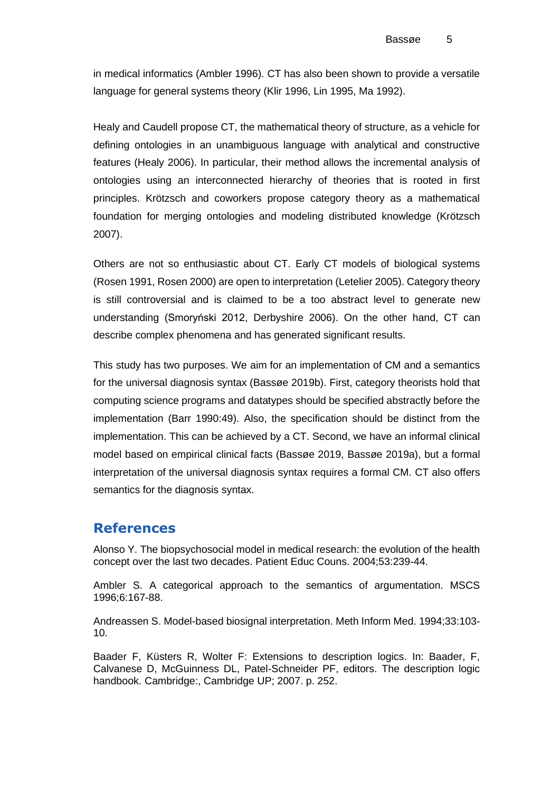in medical informatics (Ambler 1996). CT has also been shown to provide a versatile language for general systems theory (Klir 1996, Lin 1995, Ma 1992).

Healy and Caudell propose CT, the mathematical theory of structure, as a vehicle for defining ontologies in an unambiguous language with analytical and constructive features (Healy 2006). In particular, their method allows the incremental analysis of ontologies using an interconnected hierarchy of theories that is rooted in first principles. Krötzsch and coworkers propose category theory as a mathematical foundation for merging ontologies and modeling distributed knowledge (Krötzsch 2007).

Others are not so enthusiastic about CT. Early CT models of biological systems (Rosen 1991, Rosen 2000) are open to interpretation (Letelier 2005). Category theory is still controversial and is claimed to be a too abstract level to generate new understanding (Smoryński 2012, Derbyshire 2006). On the other hand, CT can describe complex phenomena and has generated significant results.

This study has two purposes. We aim for an implementation of CM and a semantics for the universal diagnosis syntax (Bassøe 2019b). First, category theorists hold that computing science programs and datatypes should be specified abstractly before the implementation (Barr 1990:49). Also, the specification should be distinct from the implementation. This can be achieved by a CT. Second, we have an informal clinical model based on empirical clinical facts (Bassøe 2019, Bassøe 2019a), but a formal interpretation of the universal diagnosis syntax requires a formal CM. CT also offers semantics for the diagnosis syntax.

## **References**

Alonso Y. The biopsychosocial model in medical research: the evolution of the health concept over the last two decades. Patient Educ Couns. 2004;53:239-44.

Ambler S. A categorical approach to the semantics of argumentation. MSCS 1996;6:167-88.

Andreassen S. Model-based biosignal interpretation. Meth Inform Med. 1994;33:103- 10.

Baader F, Küsters R, Wolter F: Extensions to description logics. In: Baader, F, Calvanese D, McGuinness DL, Patel-Schneider PF, editors. The description logic handbook. Cambridge:, Cambridge UP; 2007. p. 252.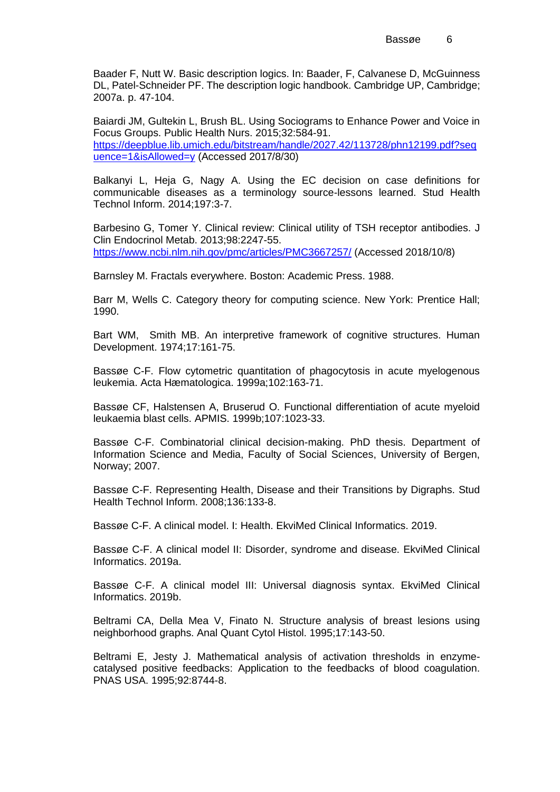Baader F, Nutt W. Basic description logics. In: Baader, F, Calvanese D, McGuinness DL, Patel-Schneider PF. The description logic handbook. Cambridge UP, Cambridge; 2007a. p. 47-104.

Baiardi JM, Gultekin L, Brush BL. Using Sociograms to Enhance Power and Voice in Focus Groups. Public Health Nurs. 2015;32:584-91. [https://deepblue.lib.umich.edu/bitstream/handle/2027.42/113728/phn12199.pdf?seq](https://deepblue.lib.umich.edu/bitstream/handle/2027.42/113728/phn12199.pdf?sequence=1&isAllowed=y) [uence=1&isAllowed=y](https://deepblue.lib.umich.edu/bitstream/handle/2027.42/113728/phn12199.pdf?sequence=1&isAllowed=y) (Accessed 2017/8/30)

Balkanyi L, Heja G, Nagy A. Using the EC decision on case definitions for communicable diseases as a terminology source-lessons learned. Stud Health Technol Inform. 2014;197:3-7.

Barbesino G, Tomer Y. Clinical review: Clinical utility of TSH receptor antibodies. J Clin Endocrinol Metab. 2013;98:2247-55. <https://www.ncbi.nlm.nih.gov/pmc/articles/PMC3667257/> (Accessed 2018/10/8)

Barnsley M. Fractals everywhere. Boston: Academic Press. 1988.

Barr M, Wells C. Category theory for computing science. New York: Prentice Hall; 1990.

Bart WM, Smith MB. An interpretive framework of cognitive structures. Human Development. 1974;17:161-75.

Bassøe C-F. Flow cytometric quantitation of phagocytosis in acute myelogenous leukemia. Acta Hæmatologica. 1999a;102:163-71.

Bassøe CF, Halstensen A, Bruserud O. Functional differentiation of acute myeloid leukaemia blast cells. APMIS. 1999b;107:1023-33.

Bassøe C-F. Combinatorial clinical decision-making. PhD thesis. Department of Information Science and Media, Faculty of Social Sciences, University of Bergen, Norway; 2007.

Bassøe C-F. Representing Health, Disease and their Transitions by Digraphs. Stud Health Technol Inform. 2008;136:133-8.

Bassøe C-F. A clinical model. I: Health. EkviMed Clinical Informatics. 2019.

Bassøe C-F. A clinical model II: Disorder, syndrome and disease. EkviMed Clinical Informatics. 2019a.

Bassøe C-F. A clinical model III: Universal diagnosis syntax. EkviMed Clinical Informatics. 2019b.

Beltrami CA, Della Mea V, Finato N. Structure analysis of breast lesions using neighborhood graphs. Anal Quant Cytol Histol. 1995;17:143-50.

Beltrami E, Jesty J. Mathematical analysis of activation thresholds in enzymecatalysed positive feedbacks: Application to the feedbacks of blood coagulation. PNAS USA. 1995;92:8744-8.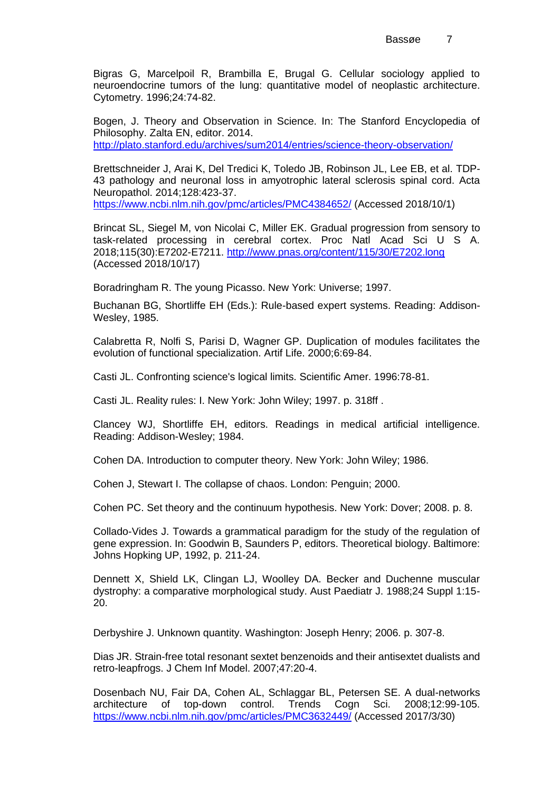Bigras G, Marcelpoil R, Brambilla E, Brugal G. Cellular sociology applied to neuroendocrine tumors of the lung: quantitative model of neoplastic architecture. Cytometry. 1996;24:74-82.

Bogen, J. Theory and Observation in Science. In: The Stanford Encyclopedia of Philosophy. Zalta EN, editor. 2014.

<http://plato.stanford.edu/archives/sum2014/entries/science-theory-observation/>

Brettschneider J, Arai K, Del Tredici K, Toledo JB, Robinson JL, Lee EB, et al. TDP-43 pathology and neuronal loss in amyotrophic lateral sclerosis spinal cord. Acta Neuropathol. 2014;128:423-37. <https://www.ncbi.nlm.nih.gov/pmc/articles/PMC4384652/> (Accessed 2018/10/1)

Brincat SL, Siegel M, von Nicolai C, Miller EK. Gradual progression from sensory to

task-related processing in cerebral cortex. Proc Natl Acad Sci U S A. 2018;115(30):E7202-E7211.<http://www.pnas.org/content/115/30/E7202.long> (Accessed 2018/10/17)

Boradringham R. The young Picasso. New York: Universe; 1997.

Buchanan BG, Shortliffe EH (Eds.): Rule-based expert systems. Reading: Addison-Wesley, 1985.

Calabretta R, Nolfi S, Parisi D, Wagner GP. Duplication of modules facilitates the evolution of functional specialization. Artif Life. 2000;6:69-84.

Casti JL. Confronting science's logical limits. Scientific Amer. 1996:78-81.

Casti JL. Reality rules: I. New York: John Wiley; 1997. p. 318ff .

Clancey WJ, Shortliffe EH, editors. Readings in medical artificial intelligence. Reading: Addison-Wesley; 1984.

Cohen DA. Introduction to computer theory. New York: John Wiley; 1986.

Cohen J, Stewart I. The collapse of chaos. London: Penguin; 2000.

Cohen PC. Set theory and the continuum hypothesis. New York: Dover; 2008. p. 8.

Collado-Vides J. Towards a grammatical paradigm for the study of the regulation of gene expression. In: Goodwin B, Saunders P, editors. Theoretical biology. Baltimore: Johns Hopking UP, 1992, p. 211-24.

Dennett X, Shield LK, Clingan LJ, Woolley DA. Becker and Duchenne muscular dystrophy: a comparative morphological study. Aust Paediatr J. 1988;24 Suppl 1:15- 20.

Derbyshire J. Unknown quantity. Washington: Joseph Henry; 2006. p. 307-8.

Dias JR. Strain-free total resonant sextet benzenoids and their antisextet dualists and retro-leapfrogs. J Chem Inf Model. 2007;47:20-4.

Dosenbach NU, Fair DA, Cohen AL, Schlaggar BL, Petersen SE. A dual-networks architecture of top-down control. Trends Cogn Sci. 2008;12:99-105. <https://www.ncbi.nlm.nih.gov/pmc/articles/PMC3632449/> (Accessed 2017/3/30)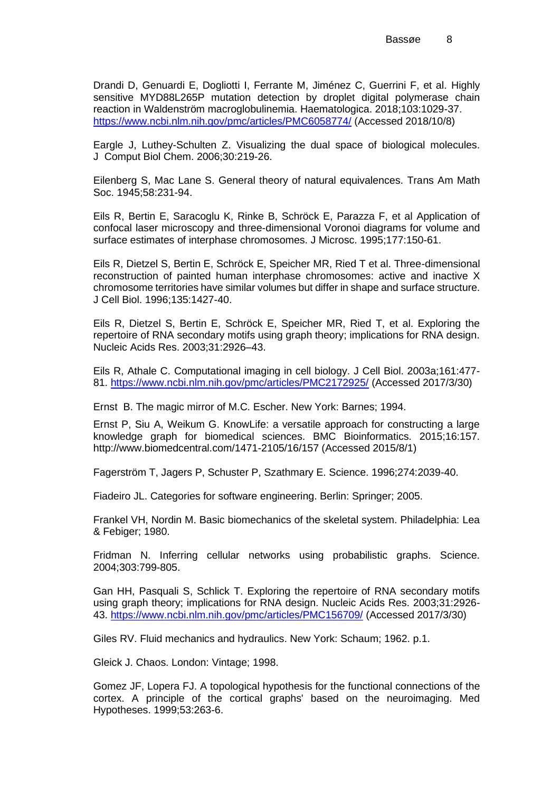Drandi D, Genuardi E, Dogliotti I, Ferrante M, Jiménez C, Guerrini F, et al. Highly sensitive MYD88L265P mutation detection by droplet digital polymerase chain reaction in Waldenström macroglobulinemia. Haematologica. 2018;103:1029-37. <https://www.ncbi.nlm.nih.gov/pmc/articles/PMC6058774/> (Accessed 2018/10/8)

Eargle J, Luthey-Schulten Z. Visualizing the dual space of biological molecules. J Comput Biol Chem. 2006;30:219-26.

Eilenberg S, Mac Lane S. General theory of natural equivalences. Trans Am Math Soc. 1945;58:231-94.

Eils R, Bertin E, Saracoglu K, Rinke B, Schröck E, Parazza F, et al Application of confocal laser microscopy and three-dimensional Voronoi diagrams for volume and surface estimates of interphase chromosomes. J Microsc. 1995;177:150-61.

Eils R, Dietzel S, Bertin E, Schröck E, Speicher MR, Ried T et al. Three-dimensional reconstruction of painted human interphase chromosomes: active and inactive X chromosome territories have similar volumes but differ in shape and surface structure. J Cell Biol. 1996;135:1427-40.

Eils R, Dietzel S, Bertin E, Schröck E, Speicher MR, Ried T, et al. Exploring the repertoire of RNA secondary motifs using graph theory; implications for RNA design. Nucleic Acids Res. 2003;31:2926–43.

Eils R, Athale C. Computational imaging in cell biology. J Cell Biol. 2003a;161:477- 81.<https://www.ncbi.nlm.nih.gov/pmc/articles/PMC2172925/> (Accessed 2017/3/30)

Ernst B. The magic mirror of M.C. Escher. New York: Barnes; 1994.

Ernst P, Siu A, Weikum G. KnowLife: a versatile approach for constructing a large knowledge graph for biomedical sciences. BMC Bioinformatics. 2015;16:157. http://www.biomedcentral.com/1471-2105/16/157 (Accessed 2015/8/1)

Fagerström T, Jagers P, Schuster P, Szathmary E. Science. 1996;274:2039-40.

Fiadeiro JL. Categories for software engineering. Berlin: Springer; 2005.

Frankel VH, Nordin M. Basic biomechanics of the skeletal system. Philadelphia: Lea & Febiger; 1980.

Fridman N. Inferring cellular networks using probabilistic graphs. Science. 2004;303:799-805.

Gan HH, Pasquali S, Schlick T. Exploring the repertoire of RNA secondary motifs using graph theory; implications for RNA design. Nucleic Acids Res. 2003;31:2926- 43.<https://www.ncbi.nlm.nih.gov/pmc/articles/PMC156709/> (Accessed 2017/3/30)

Giles RV. Fluid mechanics and hydraulics. New York: Schaum; 1962. p.1.

Gleick J. Chaos. London: Vintage; 1998.

Gomez JF, Lopera FJ. A topological hypothesis for the functional connections of the cortex. A principle of the cortical graphs' based on the neuroimaging. Med Hypotheses. 1999;53:263-6.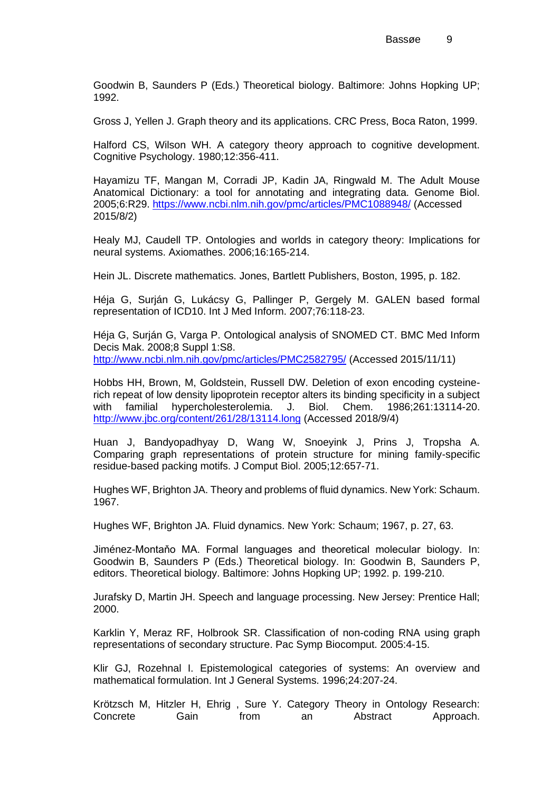Goodwin B, Saunders P (Eds.) Theoretical biology. Baltimore: Johns Hopking UP; 1992.

Gross J, Yellen J. Graph theory and its applications. CRC Press, Boca Raton, 1999.

Halford CS, Wilson WH. A category theory approach to cognitive development. Cognitive Psychology. 1980;12:356-411.

Hayamizu TF, Mangan M, Corradi JP, Kadin JA, Ringwald M. The Adult Mouse Anatomical Dictionary: a tool for annotating and integrating data. Genome Biol. 2005;6:R29.<https://www.ncbi.nlm.nih.gov/pmc/articles/PMC1088948/> (Accessed 2015/8/2)

Healy MJ, Caudell TP. Ontologies and worlds in category theory: Implications for neural systems. Axiomathes. 2006;16:165-214.

Hein JL. Discrete mathematics. Jones, Bartlett Publishers, Boston, 1995, p. 182.

Héja G, Surján G, Lukácsy G, Pallinger P, Gergely M. GALEN based formal representation of ICD10. Int J Med Inform. 2007;76:118-23.

Héja G, Surján G, Varga P. Ontological analysis of SNOMED CT. BMC Med Inform Decis Mak. 2008;8 Suppl 1:S8. <http://www.ncbi.nlm.nih.gov/pmc/articles/PMC2582795/> (Accessed 2015/11/11)

Hobbs HH, Brown, M, Goldstein, Russell DW. Deletion of exon encoding cysteinerich repeat of low density lipoprotein receptor alters its binding specificity in a subject with familial hypercholesterolemia. J. Biol. Chem. 1986;261:13114-20. <http://www.jbc.org/content/261/28/13114.long> (Accessed 2018/9/4)

Huan J, Bandyopadhyay D, Wang W, Snoeyink J, Prins J, Tropsha A. Comparing graph representations of protein structure for mining family-specific residue-based packing motifs. J Comput Biol. 2005;12:657-71.

Hughes WF, Brighton JA. Theory and problems of fluid dynamics. New York: Schaum. 1967.

Hughes WF, Brighton JA. Fluid dynamics. New York: Schaum; 1967, p. 27, 63.

Jiménez-Montaňo MA. Formal languages and theoretical molecular biology. In: Goodwin B, Saunders P (Eds.) Theoretical biology. In: Goodwin B, Saunders P, editors. Theoretical biology. Baltimore: Johns Hopking UP; 1992. p. 199-210.

Jurafsky D, Martin JH. Speech and language processing. New Jersey: Prentice Hall; 2000.

Karklin Y, Meraz RF, Holbrook SR. Classification of non-coding RNA using graph representations of secondary structure. Pac Symp Biocomput. 2005:4-15.

Klir GJ, Rozehnal I. Epistemological categories of systems: An overview and mathematical formulation. Int J General Systems. 1996;24:207-24.

Krötzsch M, Hitzler H, Ehrig , Sure Y. Category Theory in Ontology Research: Concrete Gain from an Abstract Approach.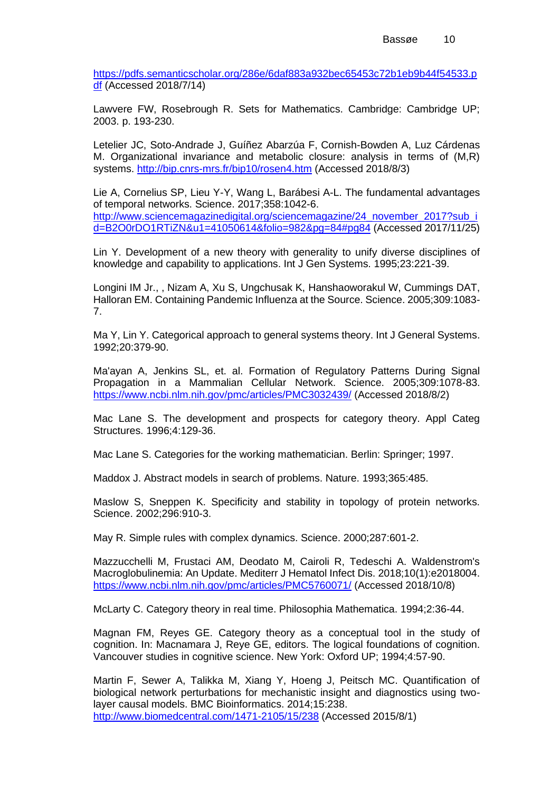[https://pdfs.semanticscholar.org/286e/6daf883a932bec65453c72b1eb9b44f54533.p](https://pdfs.semanticscholar.org/286e/6daf883a932bec65453c72b1eb9b44f54533.pdf) [df](https://pdfs.semanticscholar.org/286e/6daf883a932bec65453c72b1eb9b44f54533.pdf) (Accessed 2018/7/14)

Lawvere FW, Rosebrough R. Sets for Mathematics. Cambridge: Cambridge UP; 2003. p. 193-230.

Letelier JC, Soto-Andrade J, Guíñez Abarzúa F, Cornish-Bowden A, Luz Cárdenas M. Organizational invariance and metabolic closure: analysis in terms of (M,R) systems.<http://bip.cnrs-mrs.fr/bip10/rosen4.htm> (Accessed 2018/8/3)

Lie A, Cornelius SP, Lieu Y-Y, Wang L, Barábesi A-L. The fundamental advantages of temporal networks. Science. 2017;358:1042-6. [http://www.sciencemagazinedigital.org/sciencemagazine/24\\_november\\_2017?sub\\_i](http://www.sciencemagazinedigital.org/sciencemagazine/24_november_2017?sub_id=B2O0rDO1RTiZN&u1=41050614&folio=982&pg=84#pg84) [d=B2O0rDO1RTiZN&u1=41050614&folio=982&pg=84#pg84](http://www.sciencemagazinedigital.org/sciencemagazine/24_november_2017?sub_id=B2O0rDO1RTiZN&u1=41050614&folio=982&pg=84#pg84) (Accessed 2017/11/25)

Lin Y. Development of a new theory with generality to unify diverse disciplines of knowledge and capability to applications. Int J Gen Systems. 1995;23:221-39.

Longini IM Jr., , Nizam A, Xu S, Ungchusak K, Hanshaoworakul W, Cummings DAT, Halloran EM. Containing Pandemic Influenza at the Source. Science. 2005;309:1083- 7.

Ma Y, Lin Y. Categorical approach to general systems theory. Int J General Systems. 1992;20:379-90.

Ma'ayan A, Jenkins SL, et. al. Formation of Regulatory Patterns During Signal Propagation in a Mammalian Cellular Network. Science. 2005;309:1078-83. <https://www.ncbi.nlm.nih.gov/pmc/articles/PMC3032439/> (Accessed 2018/8/2)

Mac Lane S. The development and prospects for category theory. Appl Categ Structures. 1996;4:129-36.

Mac Lane S. Categories for the working mathematician. Berlin: Springer; 1997.

Maddox J. Abstract models in search of problems. Nature. 1993;365:485.

Maslow S, Sneppen K. Specificity and stability in topology of protein networks. Science. 2002;296:910-3.

May R. Simple rules with complex dynamics. Science. 2000;287:601-2.

Mazzucchelli M, Frustaci AM, Deodato M, Cairoli R, Tedeschi A. Waldenstrom's Macroglobulinemia: An Update. Mediterr J Hematol Infect Dis. 2018;10(1):e2018004. <https://www.ncbi.nlm.nih.gov/pmc/articles/PMC5760071/> (Accessed 2018/10/8)

McLarty C. Category theory in real time. Philosophia Mathematica. 1994;2:36-44.

Magnan FM, Reyes GE. Category theory as a conceptual tool in the study of cognition. In: Macnamara J, Reye GE, editors. The logical foundations of cognition. Vancouver studies in cognitive science. New York: Oxford UP; 1994;4:57-90.

Martin F, Sewer A, Talikka M, Xiang Y, Hoeng J, Peitsch MC. Quantification of biological network perturbations for mechanistic insight and diagnostics using twolayer causal models. BMC Bioinformatics. 2014;15:238. <http://www.biomedcentral.com/1471-2105/15/238> (Accessed 2015/8/1)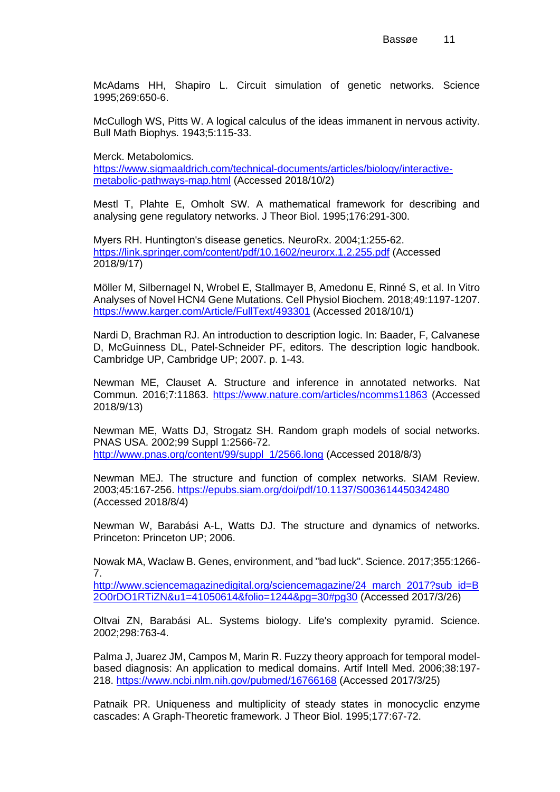McAdams HH, Shapiro L. Circuit simulation of genetic networks. Science 1995;269:650-6.

McCullogh WS, Pitts W. A logical calculus of the ideas immanent in nervous activity. Bull Math Biophys. 1943;5:115-33.

Merck. Metabolomics.

[https://www.sigmaaldrich.com/technical-documents/articles/biology/interactive](https://www.sigmaaldrich.com/technical-documents/articles/biology/interactive-metabolic-pathways-map.html)[metabolic-pathways-map.html](https://www.sigmaaldrich.com/technical-documents/articles/biology/interactive-metabolic-pathways-map.html) (Accessed 2018/10/2)

Mestl T, Plahte E, Omholt SW. A mathematical framework for describing and analysing gene regulatory networks. J Theor Biol. 1995;176:291-300.

Myers RH. Huntington's disease genetics. NeuroRx. 2004;1:255-62. <https://link.springer.com/content/pdf/10.1602/neurorx.1.2.255.pdf> (Accessed 2018/9/17)

Möller M, Silbernagel N, Wrobel E, Stallmayer B, Amedonu E, Rinné S, et al. In Vitro Analyses of Novel HCN4 Gene Mutations. Cell Physiol Biochem. 2018;49:1197-1207. <https://www.karger.com/Article/FullText/493301> (Accessed 2018/10/1)

Nardi D, Brachman RJ. An introduction to description logic. In: Baader, F, Calvanese D, McGuinness DL, Patel-Schneider PF, editors. The description logic handbook. Cambridge UP, Cambridge UP; 2007. p. 1-43.

Newman ME, Clauset A. Structure and inference in annotated networks. Nat Commun. 2016;7:11863.<https://www.nature.com/articles/ncomms11863> (Accessed 2018/9/13)

Newman ME, Watts DJ, Strogatz SH. Random graph models of social networks. PNAS USA. 2002;99 Suppl 1:2566-72. [http://www.pnas.org/content/99/suppl\\_1/2566.long](http://www.pnas.org/content/99/suppl_1/2566.long) (Accessed 2018/8/3)

Newman MEJ. The structure and function of complex networks. SIAM Review. 2003;45:167-256.<https://epubs.siam.org/doi/pdf/10.1137/S003614450342480> (Accessed 2018/8/4)

Newman W, Barabási A-L, Watts DJ. The structure and dynamics of networks. Princeton: Princeton UP; 2006.

Nowak MA, Waclaw B. Genes, environment, and "bad luck". Science. 2017;355:1266- 7.

[http://www.sciencemagazinedigital.org/sciencemagazine/24\\_march\\_2017?sub\\_id=B](http://www.sciencemagazinedigital.org/sciencemagazine/24_march_2017?sub_id=B2O0rDO1RTiZN&u1=41050614&folio=1244&pg=30#pg30) [2O0rDO1RTiZN&u1=41050614&folio=1244&pg=30#pg30](http://www.sciencemagazinedigital.org/sciencemagazine/24_march_2017?sub_id=B2O0rDO1RTiZN&u1=41050614&folio=1244&pg=30#pg30) (Accessed 2017/3/26)

Oltvai ZN, Barabási AL. Systems biology. Life's complexity pyramid. Science. 2002;298:763-4.

Palma J, Juarez JM, Campos M, Marin R. Fuzzy theory approach for temporal modelbased diagnosis: An application to medical domains. Artif Intell Med. 2006;38:197- 218.<https://www.ncbi.nlm.nih.gov/pubmed/16766168> (Accessed 2017/3/25)

Patnaik PR. Uniqueness and multiplicity of steady states in monocyclic enzyme cascades: A Graph-Theoretic framework. J Theor Biol. 1995;177:67-72.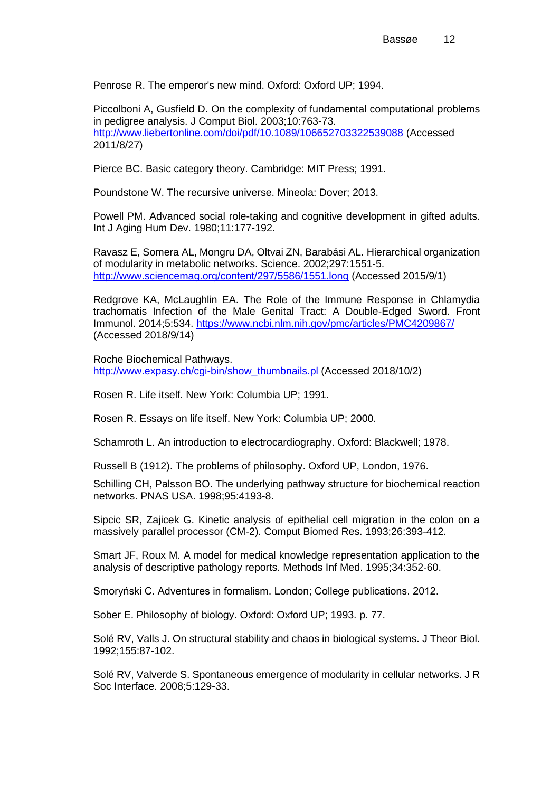Penrose R. The emperor's new mind. Oxford: Oxford UP; 1994.

Piccolboni A, Gusfield D. On the complexity of fundamental computational problems in pedigree analysis. J Comput Biol. 2003;10:763-73. <http://www.liebertonline.com/doi/pdf/10.1089/106652703322539088> (Accessed 2011/8/27)

Pierce BC. Basic category theory. Cambridge: MIT Press; 1991.

Poundstone W. The recursive universe. Mineola: Dover; 2013.

Powell PM. Advanced social role-taking and cognitive development in gifted adults. Int J Aging Hum Dev. 1980;11:177-192.

Ravasz E, Somera AL, Mongru DA, Oltvai ZN, Barabási AL. Hierarchical organization of modularity in metabolic networks. Science. 2002;297:1551-5. <http://www.sciencemag.org/content/297/5586/1551.long> (Accessed 2015/9/1)

Redgrove KA, McLaughlin EA. The Role of the Immune Response in Chlamydia trachomatis Infection of the Male Genital Tract: A Double-Edged Sword. Front Immunol. 2014;5:534.<https://www.ncbi.nlm.nih.gov/pmc/articles/PMC4209867/> (Accessed 2018/9/14)

Roche Biochemical Pathways. [http://www.expasy.ch/cgi-bin/show\\_thumbnails.pl](http://www.expasy.ch/cgi-bin/show_thumbnails.pl) (Accessed 2018/10/2)

Rosen R. Life itself. New York: Columbia UP; 1991.

Rosen R. Essays on life itself. New York: Columbia UP; 2000.

Schamroth L. An introduction to electrocardiography. Oxford: Blackwell; 1978.

Russell B (1912). The problems of philosophy. Oxford UP, London, 1976.

Schilling CH, Palsson BO. The underlying pathway structure for biochemical reaction networks. PNAS USA. 1998;95:4193-8.

Sipcic SR, Zajicek G. Kinetic analysis of epithelial cell migration in the colon on a massively parallel processor (CM-2). Comput Biomed Res. 1993;26:393-412.

Smart JF, Roux M. A model for medical knowledge representation application to the analysis of descriptive pathology reports. Methods Inf Med. 1995;34:352-60.

Smoryński C. Adventures in formalism. London; College publications. 2012.

Sober E. Philosophy of biology. Oxford: Oxford UP; 1993. p. 77.

Solé RV, Valls J. On structural stability and chaos in biological systems. J Theor Biol. 1992;155:87-102.

Solé RV, Valverde S. Spontaneous emergence of modularity in cellular networks. J R Soc Interface. 2008;5:129-33.